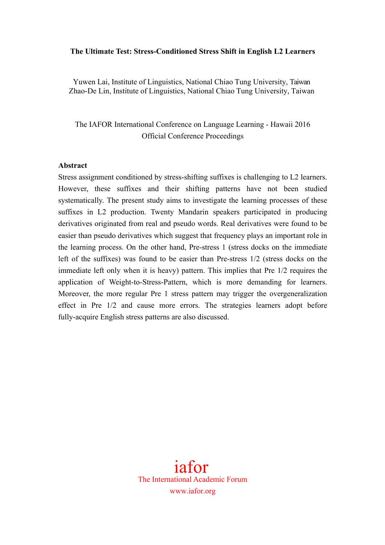### **The Ultimate Test: Stress-Conditioned Stress Shift in English L2 Learners**

Yuwen Lai, Institute of Linguistics, National Chiao Tung University, Taiwan Zhao-De Lin, Institute of Linguistics, National Chiao Tung University, Taiwan

The IAFOR International Conference on Language Learning - Hawaii 2016 Official Conference Proceedings

#### **Abstract**

Stress assignment conditioned by stress-shifting suffixes is challenging to L2 learners. However, these suffixes and their shifting patterns have not been studied systematically. The present study aims to investigate the learning processes of these suffixes in L2 production. Twenty Mandarin speakers participated in producing derivatives originated from real and pseudo words. Real derivatives were found to be easier than pseudo derivatives which suggest that frequency plays an important role in the learning process. On the other hand, Pre-stress 1 (stress docks on the immediate left of the suffixes) was found to be easier than Pre-stress 1/2 (stress docks on the immediate left only when it is heavy) pattern. This implies that Pre 1/2 requires the application of Weight-to-Stress-Pattern, which is more demanding for learners. Moreover, the more regular Pre 1 stress pattern may trigger the overgeneralization effect in Pre 1/2 and cause more errors. The strategies learners adopt before fully-acquire English stress patterns are also discussed.

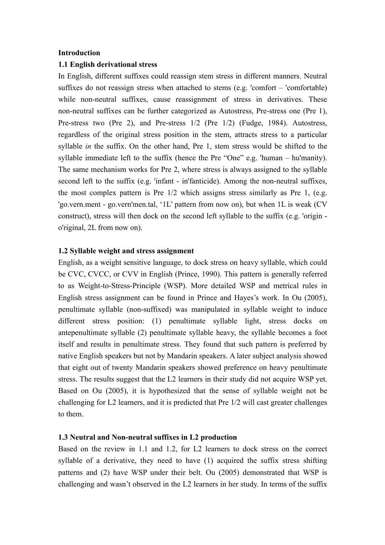### **Introduction**

#### **1.1 English derivational stress**

In English, different suffixes could reassign stem stress in different manners. Neutral suffixes do not reassign stress when attached to stems (e.g. 'comfort – 'comfortable) while non-neutral suffixes, cause reassignment of stress in derivatives. These non-neutral suffixes can be further categorized as Autostress, Pre-stress one (Pre 1), Pre-stress two (Pre 2), and Pre-stress 1/2 (Pre 1/2) (Fudge, 1984). Autostress, regardless of the original stress position in the stem, attracts stress to a particular syllable *in* the suffix. On the other hand, Pre 1, stem stress would be shifted to the syllable immediate left to the suffix (hence the Pre "One" e.g. 'human – hu'manity). The same mechanism works for Pre 2, where stress is always assigned to the syllable second left to the suffix (e.g. 'infant - in'fanticide). Among the non-neutral suffixes, the most complex pattern is Pre 1/2 which assigns stress similarly as Pre 1, (e.g. 'go.vern.ment - go.vern'men.tal, '1L' pattern from now on), but when 1L is weak (CV construct), stress will then dock on the second left syllable to the suffix (e.g. 'origin o'riginal, 2L from now on).

### **1.2 Syllable weight and stress assignment**

English, as a weight sensitive language, to dock stress on heavy syllable, which could be CVC, CVCC, or CVV in English (Prince, 1990). This pattern is generally referred to as Weight-to-Stress-Principle (WSP). More detailed WSP and metrical rules in English stress assignment can be found in Prince and Hayes's work. In Ou (2005), penultimate syllable (non-suffixed) was manipulated in syllable weight to induce different stress position: (1) penultimate syllable light, stress docks on antepenultimate syllable (2) penultimate syllable heavy, the syllable becomes a foot itself and results in penultimate stress. They found that such pattern is preferred by native English speakers but not by Mandarin speakers. A later subject analysis showed that eight out of twenty Mandarin speakers showed preference on heavy penultimate stress. The results suggest that the L2 learners in their study did not acquire WSP yet. Based on Ou (2005), it is hypothesized that the sense of syllable weight not be challenging for L2 learners, and it is predicted that Pre 1/2 will cast greater challenges to them.

#### **1.3 Neutral and Non-neutral suffixes in L2 production**

Based on the review in 1.1 and 1.2, for L2 learners to dock stress on the correct syllable of a derivative, they need to have (1) acquired the suffix stress shifting patterns and (2) have WSP under their belt. Ou (2005) demonstrated that WSP is challenging and wasn't observed in the L2 learners in her study. In terms of the suffix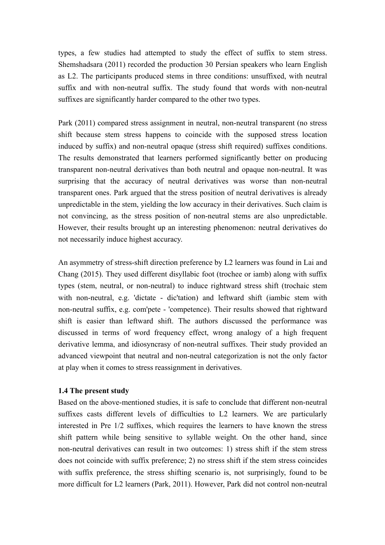types, a few studies had attempted to study the effect of suffix to stem stress. Shemshadsara (2011) recorded the production 30 Persian speakers who learn English as L2. The participants produced stems in three conditions: unsuffixed, with neutral suffix and with non-neutral suffix. The study found that words with non-neutral suffixes are significantly harder compared to the other two types.

Park (2011) compared stress assignment in neutral, non-neutral transparent (no stress shift because stem stress happens to coincide with the supposed stress location induced by suffix) and non-neutral opaque (stress shift required) suffixes conditions. The results demonstrated that learners performed significantly better on producing transparent non-neutral derivatives than both neutral and opaque non-neutral. It was surprising that the accuracy of neutral derivatives was worse than non-neutral transparent ones. Park argued that the stress position of neutral derivatives is already unpredictable in the stem, yielding the low accuracy in their derivatives. Such claim is not convincing, as the stress position of non-neutral stems are also unpredictable. However, their results brought up an interesting phenomenon: neutral derivatives do not necessarily induce highest accuracy.

An asymmetry of stress-shift direction preference by L2 learners was found in Lai and Chang (2015). They used different disyllabic foot (trochee or iamb) along with suffix types (stem, neutral, or non-neutral) to induce rightward stress shift (trochaic stem with non-neutral, e.g. 'dictate - dic'tation) and leftward shift (iambic stem with non-neutral suffix, e.g. com'pete - 'competence). Their results showed that rightward shift is easier than leftward shift. The authors discussed the performance was discussed in terms of word frequency effect, wrong analogy of a high frequent derivative lemma, and idiosyncrasy of non-neutral suffixes. Their study provided an advanced viewpoint that neutral and non-neutral categorization is not the only factor at play when it comes to stress reassignment in derivatives.

# **1.4 The present study**

Based on the above-mentioned studies, it is safe to conclude that different non-neutral suffixes casts different levels of difficulties to L2 learners. We are particularly interested in Pre 1/2 suffixes, which requires the learners to have known the stress shift pattern while being sensitive to syllable weight. On the other hand, since non-neutral derivatives can result in two outcomes: 1) stress shift if the stem stress does not coincide with suffix preference; 2) no stress shift if the stem stress coincides with suffix preference, the stress shifting scenario is, not surprisingly, found to be more difficult for L2 learners (Park, 2011). However, Park did not control non-neutral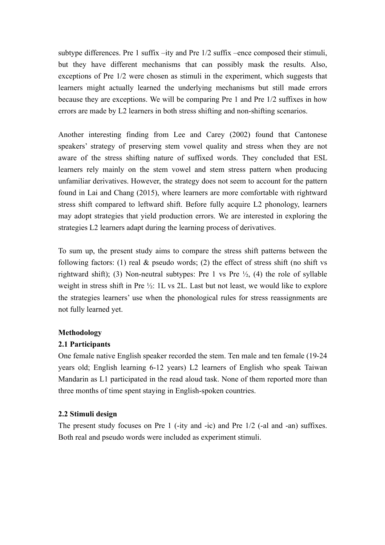subtype differences. Pre 1 suffix –ity and Pre 1/2 suffix –ence composed their stimuli, but they have different mechanisms that can possibly mask the results. Also, exceptions of Pre 1/2 were chosen as stimuli in the experiment, which suggests that learners might actually learned the underlying mechanisms but still made errors because they are exceptions. We will be comparing Pre 1 and Pre 1/2 suffixes in how errors are made by L2 learners in both stress shifting and non-shifting scenarios.

Another interesting finding from Lee and Carey (2002) found that Cantonese speakers' strategy of preserving stem vowel quality and stress when they are not aware of the stress shifting nature of suffixed words. They concluded that ESL learners rely mainly on the stem vowel and stem stress pattern when producing unfamiliar derivatives. However, the strategy does not seem to account for the pattern found in Lai and Chang (2015), where learners are more comfortable with rightward stress shift compared to leftward shift. Before fully acquire L2 phonology, learners may adopt strategies that yield production errors. We are interested in exploring the strategies L2 learners adapt during the learning process of derivatives.

To sum up, the present study aims to compare the stress shift patterns between the following factors: (1) real  $\&$  pseudo words; (2) the effect of stress shift (no shift vs rightward shift); (3) Non-neutral subtypes: Pre 1 vs Pre  $\frac{1}{2}$ , (4) the role of syllable weight in stress shift in Pre ½: 1L vs 2L. Last but not least, we would like to explore the strategies learners' use when the phonological rules for stress reassignments are not fully learned yet.

# **Methodology**

# **2.1 Participants**

One female native English speaker recorded the stem. Ten male and ten female (19-24 years old; English learning 6-12 years) L2 learners of English who speak Taiwan Mandarin as L1 participated in the read aloud task. None of them reported more than three months of time spent staying in English-spoken countries.

# **2.2 Stimuli design**

The present study focuses on Pre 1 (-ity and -ic) and Pre 1/2 (-al and -an) suffixes. Both real and pseudo words were included as experiment stimuli.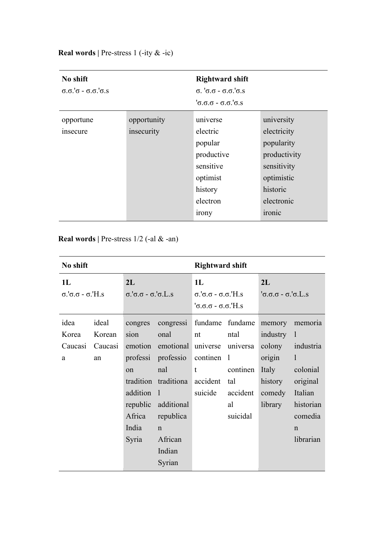| No shift<br>$\sigma \cdot \sigma' \sigma - \sigma \cdot \sigma' \sigma \cdot s$ |             | <b>Rightward shift</b><br>$\sigma$ . ' $\sigma$ . $\sigma$ - $\sigma$ . $\sigma$ .' $\sigma$ .s<br>$\sigma$ . $\sigma$ . $\sigma$ - $\sigma$ . $\sigma$ . $\sigma$ . $\sigma$ . $\sigma$ . |              |
|---------------------------------------------------------------------------------|-------------|--------------------------------------------------------------------------------------------------------------------------------------------------------------------------------------------|--------------|
| opportune                                                                       | opportunity | universe                                                                                                                                                                                   | university   |
| insecure                                                                        | insecurity  | electric                                                                                                                                                                                   | electricity  |
|                                                                                 |             | popular                                                                                                                                                                                    | popularity   |
|                                                                                 |             | productive                                                                                                                                                                                 | productivity |
|                                                                                 |             | sensitive                                                                                                                                                                                  | sensitivity  |
|                                                                                 |             | optimist                                                                                                                                                                                   | optimistic   |
|                                                                                 |             | history                                                                                                                                                                                    | historic     |
|                                                                                 |             | electron                                                                                                                                                                                   | electronic   |
|                                                                                 |             | <i>irony</i>                                                                                                                                                                               | ironic       |

**Real words |** Pre-stress 1 (-ity & -ic)

**Real words |** Pre-stress 1/2 (-al & -an)

| No shift                                               |                                  |                                                                                   | <b>Rightward shift</b>                                                                                                                                                                                    |                                                                                |                                                       |                                                                                   |                                                                                                                             |
|--------------------------------------------------------|----------------------------------|-----------------------------------------------------------------------------------|-----------------------------------------------------------------------------------------------------------------------------------------------------------------------------------------------------------|--------------------------------------------------------------------------------|-------------------------------------------------------|-----------------------------------------------------------------------------------|-----------------------------------------------------------------------------------------------------------------------------|
| 1L<br>$\sigma$ .' $\sigma$ . $\sigma$ - $\sigma$ .'H.s |                                  | 2L<br>$\sigma$ 'σ.σ - σ'σ.L.s                                                     |                                                                                                                                                                                                           | 1L<br>σ.'σ.σ - σ.σ.' $H$ .s<br>$'\sigma.\sigma.\sigma$ - $\sigma.\sigma$ . H.s |                                                       | 2L<br>$\sigma \sigma \sigma - \sigma' \sigma L$ .                                 |                                                                                                                             |
| idea<br>Korea<br>Caucasi<br>a                          | ideal<br>Korean<br>Caucasi<br>an | congres<br>sion<br>emotion<br>$_{\rm on}$<br>addition<br>Africa<br>India<br>Syria | congressi<br>onal<br>emotional universe universa<br>professi professio<br>nal<br>tradition traditiona<br>$\blacksquare$<br>republic additional<br>republica<br>$\mathbf n$<br>African<br>Indian<br>Syrian | fundame fundame<br>nt<br>continen 1<br>t<br>accident<br>suicide                | ntal<br>continen<br>tal<br>accident<br>al<br>suicidal | memory<br>industry 1<br>colony<br>origin<br>Italy<br>history<br>comedy<br>library | memoria<br>industria<br>$\mathbf{1}$<br>colonial<br>original<br>Italian<br>historian<br>comedia<br>$\mathbf n$<br>librarian |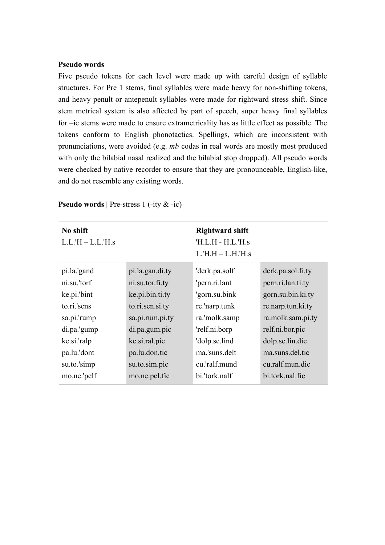## **Pseudo words**

Five pseudo tokens for each level were made up with careful design of syllable structures. For Pre 1 stems, final syllables were made heavy for non-shifting tokens, and heavy penult or antepenult syllables were made for rightward stress shift. Since stem metrical system is also affected by part of speech, super heavy final syllables for –ic stems were made to ensure extrametricality has as little effect as possible. The tokens conform to English phonotactics. Spellings, which are inconsistent with pronunciations, were avoided (e.g. *mb* codas in real words are mostly most produced with only the bilabial nasal realized and the bilabial stop dropped). All pseudo words were checked by native recorder to ensure that they are pronounceable, English-like, and do not resemble any existing words.

| No shift<br>$L.L.H - L.L.H.s$ |                 | <b>Rightward shift</b><br>$'H.L.H - H.L.'H.s$<br>$L.H.H - L.H.H.S$ |                   |
|-------------------------------|-----------------|--------------------------------------------------------------------|-------------------|
| pi.la.'gand                   | pi.la.gan.di.ty | 'derk.pa.solf                                                      | derk.pa.sol.fi.ty |
| ni.su.'torf                   | ni.su.tor.fi.ty | 'pern.ri.lant                                                      | pern.ri.lan.ti.ty |
| ke.pi.'bint                   | ke.pi.bin.ti.ty | 'gorn.su.bink                                                      | gorn.su.bin.ki.ty |
| to.ri.'sens                   | to.ri.sen.si.ty | re.'narp.tunk                                                      | re.narp.tun.ki.ty |
| sa.pi.'rump                   | sa.pi.rum.pi.ty | ra.'molk.samp                                                      | ra.molk.sam.pi.ty |
| di.pa.'gump                   | di.pa.gum.pic   | 'relf.ni.borp                                                      | relf.ni.bor.pic   |
| ke.si.'ralp                   | ke.si.ral.pic   | 'dolp.se.lind                                                      | dolp.se.lin.dic   |
| pa.lu.'dont                   | pa.lu.don.tic   | ma.'suns.delt                                                      | ma.suns.del.tic   |
| su.to.'simp                   | su.to.sim.pic   | cu.'ralf.mund                                                      | cu.ralf.mun.dic   |
| mo.ne.'pelf                   | mo.ne.pel.fic   | bi.'tork.nalf                                                      | bi.tork.nal.fic   |

**Pseudo words** | Pre-stress 1 (-ity & -ic)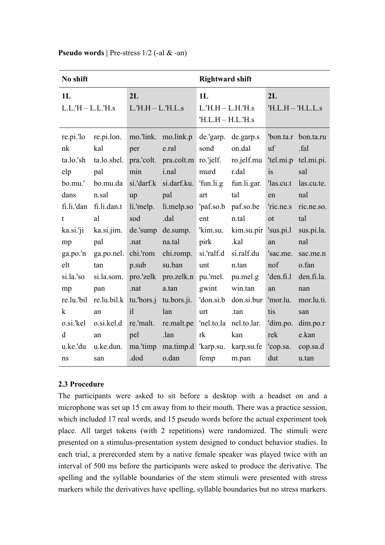| No shift                                                                                           |                                                                                                                                           | <b>Rightward shift</b>                                                        |                                                                                                                                                                                                         |                                                                                  |                                                                                                                                  |                                                                                               |                                                                                                                                                |
|----------------------------------------------------------------------------------------------------|-------------------------------------------------------------------------------------------------------------------------------------------|-------------------------------------------------------------------------------|---------------------------------------------------------------------------------------------------------------------------------------------------------------------------------------------------------|----------------------------------------------------------------------------------|----------------------------------------------------------------------------------------------------------------------------------|-----------------------------------------------------------------------------------------------|------------------------------------------------------------------------------------------------------------------------------------------------|
| 1L<br>$L.L.H - L.L.H.s$                                                                            |                                                                                                                                           | 2L<br>$L.H.H - L.H.L.s$                                                       |                                                                                                                                                                                                         | 1L<br>$L.H.H - L.H.H.s$<br>$'H.L.H-H.L.'H.s$                                     |                                                                                                                                  | 2L<br>$'H.L.H -'H.L.L.s$                                                                      |                                                                                                                                                |
| re.pi.'lo<br>nk<br>ta.lo.'sh<br>elp<br>bo.mu.'<br>dans<br>t.<br>ka.si.'ji<br>mp<br>ga.po.'n<br>elt | re.pi.lon.<br>kal<br>$ta.$ lo.shel.<br>pal<br>bo.mu.da<br>n.sal<br>fi.li.'dan fi.li.dan.t<br>al<br>ka.si.jim.<br>pal<br>ga.po.net.<br>tan | per<br>min<br>up<br>li.'melp.<br>sod<br>de 'sump<br>.nat<br>chi.'rom<br>p.sub | mo.'link. mo.link.p<br>e.ral<br>pra.'colt. pra.colt.m ro.'jelf.<br><i>i.nal</i><br>si.'darf.k si.darf.ku.<br>pal<br>li.melp.so 'paf.so.b paf.so.be<br>.dal<br>de.sump.<br>na.tal<br>chi.romp.<br>su.ban | sond<br>murd<br>'fun.li.g<br>art<br>ent<br>'kim.su.<br>pirk<br>si.'ralf.d<br>unt | de 'garp. de garp.s<br>on.dal<br>ro.jelf.mu<br>r.dal<br>fun.li.gar.<br>tal<br>n.tal<br>kim.su.pir<br>.kal<br>si.ralf.du<br>n.tan | <i>uf</i><br>is<br>las.cu.t<br>en<br>'ric.ne.s<br>ot<br>$'$ sus.pi.l<br>an<br>'sac.me.<br>nof | 'bon.ta.r bon.ta.ru<br>.fal<br>'tel.mi.p tel.mi.pi.<br>sal<br>las.cu.te.<br>nal<br>ric.ne.so.<br>tal<br>sus.pi.la.<br>nal<br>sac.me.n<br>o.fan |
| si.la.'so<br>mp<br>$\bf k$<br>d<br>u.ke.'du<br>ns                                                  | si.la.som.<br>pan<br>$re.lu.$ 'bil $re.lu.bil.k$<br>an<br>o.si.'kel o.si.kel.d re.'malt.<br>an<br>u.ke.dun.<br>san                        | .nat<br>i1<br>pel<br>.dod                                                     | pro.'zelk pro.zelk.n pu.'mel.<br>a.tan<br>tu.'bors.j tu.bors.ji. 'don.si.b don.si.bur<br>lan<br>re.malt.pe 'nel.to.la nel.to.lar.<br>.lan<br>ma.'timp ma.timp.d 'karp.su. karp.su.fe<br>o.dan           | gwint<br>urt<br>rk<br>femp                                                       | pu.mel.g<br>win.tan<br>.tan<br>kan<br>m.pan                                                                                      | 'den.fi.l<br>an<br>'mor.lu.<br>tis<br>rek<br>'cop.sa.<br>dut                                  | den.fi.la.<br>nan<br>mor.lu.ti.<br>san<br>'dim.po. dim.po.r<br>e.kan<br>cop.sa.d<br>u.tan                                                      |

## **Pseudo words** | Pre-stress  $1/2$  (-al & -an)

## **2.3 Procedure**

The participants were asked to sit before a desktop with a headset on and a microphone was set up 15 cm away from to their mouth. There was a practice session, which included 17 real words, and 15 pseudo words before the actual experiment took place. All target tokens (with 2 repetitions) were randomized. The stimuli were presented on a stimulus-presentation system designed to conduct behavior studies. In each trial, a prerecorded stem by a native female speaker was played twice with an interval of 500 ms before the participants were asked to produce the derivative. The spelling and the syllable boundaries of the stem stimuli were presented with stress markers while the derivatives have spelling, syllable boundaries but no stress markers.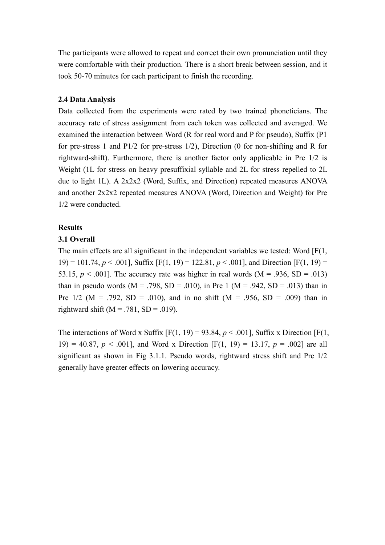The participants were allowed to repeat and correct their own pronunciation until they were comfortable with their production. There is a short break between session, and it took 50-70 minutes for each participant to finish the recording.

## **2.4 Data Analysis**

Data collected from the experiments were rated by two trained phoneticians. The accuracy rate of stress assignment from each token was collected and averaged. We examined the interaction between Word (R for real word and P for pseudo), Suffix (P1 for pre-stress 1 and P1/2 for pre-stress 1/2), Direction (0 for non-shifting and R for rightward-shift). Furthermore, there is another factor only applicable in Pre 1/2 is Weight (1L for stress on heavy presuffixial syllable and 2L for stress repelled to 2L due to light 1L). A 2x2x2 (Word, Suffix, and Direction) repeated measures ANOVA and another 2x2x2 repeated measures ANOVA (Word, Direction and Weight) for Pre 1/2 were conducted.

## **Results**

## **3.1 Overall**

The main effects are all significant in the independent variables we tested: Word [F(1, 19) = 101.74,  $p < .001$ ], Suffix [F(1, 19) = 122.81,  $p < .001$ ], and Direction [F(1, 19) = 53.15,  $p < .001$ . The accuracy rate was higher in real words (M = .936, SD = .013) than in pseudo words  $(M = .798, SD = .010)$ , in Pre 1  $(M = .942, SD = .013)$  than in Pre  $1/2$  (M = .792, SD = .010), and in no shift (M = .956, SD = .009) than in rightward shift  $(M = .781, SD = .019)$ .

The interactions of Word x Suffix  $[F(1, 19) = 93.84, p < .001]$ , Suffix x Direction  $[F(1, 19) = .001]$ 19) = 40.87,  $p < .001$ ], and Word x Direction [F(1, 19) = 13.17,  $p = .002$ ] are all significant as shown in Fig 3.1.1. Pseudo words, rightward stress shift and Pre 1/2 generally have greater effects on lowering accuracy.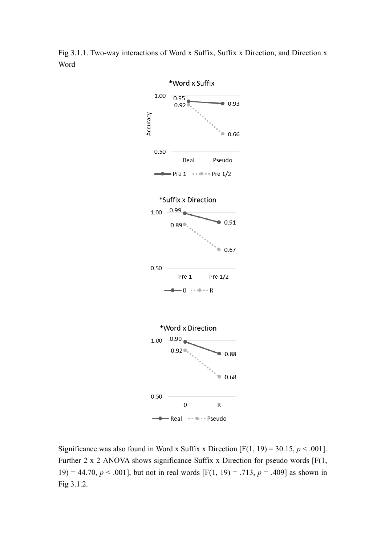Fig 3.1.1. Two-way interactions of Word x Suffix, Suffix x Direction, and Direction x Word



Significance was also found in Word x Suffix x Direction  $[F(1, 19) = 30.15, p < .001]$ . Further 2 x 2 ANOVA shows significance Suffix x Direction for pseudo words [F(1, 19) = 44.70,  $p < .001$ ], but not in real words [F(1, 19) = .713,  $p = .409$ ] as shown in Fig 3.1.2.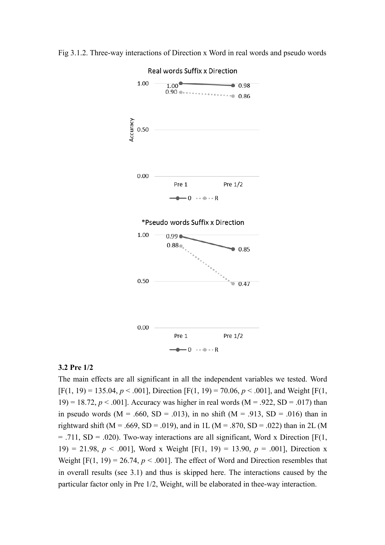

Fig 3.1.2. Three-way interactions of Direction x Word in real words and pseudo words

### **3.2 Pre 1/2**

The main effects are all significant in all the independent variables we tested. Word  $[F(1, 19) = 135.04, p < .001]$ , Direction  $[F(1, 19) = 70.06, p < .001]$ , and Weight  $[F(1, 19) = 70.06, p < .001]$ 19) = 18.72,  $p < .001$ . Accuracy was higher in real words (M = .922, SD = .017) than in pseudo words  $(M = .660, SD = .013)$ , in no shift  $(M = .913, SD = .016)$  than in rightward shift (M = .669, SD = .019), and in 1L (M = .870, SD = .022) than in 2L (M  $=$  .711, SD = .020). Two-way interactions are all significant, Word x Direction [F(1, 19) = 21.98, *p* < .001], Word x Weight [F(1, 19) = 13.90, *p* = .001], Direction x Weight  $[F(1, 19) = 26.74, p < .001]$ . The effect of Word and Direction resembles that in overall results (see 3.1) and thus is skipped here. The interactions caused by the particular factor only in Pre 1/2, Weight, will be elaborated in thee-way interaction.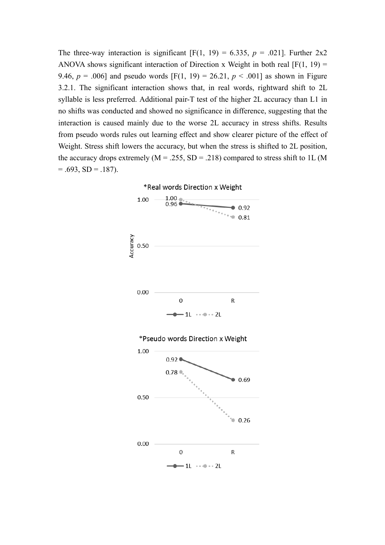The three-way interaction is significant  $[F(1, 19) = 6.335, p = .021]$ . Further 2x2 ANOVA shows significant interaction of Direction x Weight in both real  $[F(1, 19) =$ 9.46,  $p = .006$ ] and pseudo words [F(1, 19) = 26.21,  $p < .001$ ] as shown in Figure 3.2.1. The significant interaction shows that, in real words, rightward shift to 2L syllable is less preferred. Additional pair-T test of the higher 2L accuracy than L1 in no shifts was conducted and showed no significance in difference, suggesting that the interaction is caused mainly due to the worse 2L accuracy in stress shifts. Results from pseudo words rules out learning effect and show clearer picture of the effect of Weight. Stress shift lowers the accuracy, but when the stress is shifted to 2L position, the accuracy drops extremely ( $M = 0.255$ ,  $SD = 0.218$ ) compared to stress shift to 1L (M  $= .693$ , SD  $= .187$ ).

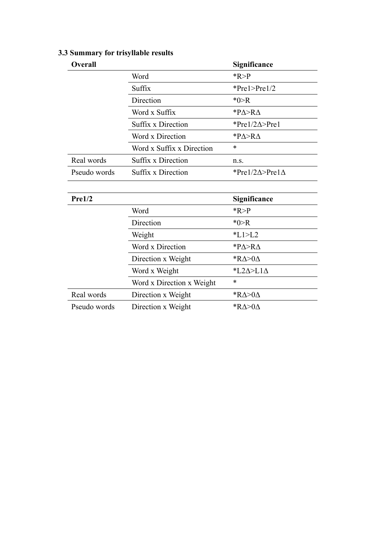| <b>Overall</b> |                           | Significance                    |
|----------------|---------------------------|---------------------------------|
|                | Word                      | R > P                           |
|                | Suffix                    | $*Pre1 > Pre1/2$                |
|                | Direction                 | $*0 > R$                        |
|                | Word x Suffix             | * $P\Delta > R\Delta$           |
|                | <b>Suffix x Direction</b> | *Pre $1/2\Delta$ >Pre1          |
|                | Word x Direction          | $P\Delta > R\Delta$             |
|                | Word x Suffix x Direction | ∗                               |
| Real words     | <b>Suffix x Direction</b> | n.s.                            |
| Pseudo words   | <b>Suffix x Direction</b> | *Pre1/2 $\Delta$ >Pre1 $\Delta$ |
|                |                           |                                 |
| Pre1/2         |                           | Significance                    |
|                | Word                      | R > P                           |
|                | Direction                 | $*0 > R$                        |
|                | Weight                    | $*L1>L2$                        |
|                | Word x Direction          | $P\Delta > R\Delta$             |
|                | Direction x Weight        | * $R\Delta > 0\Delta$           |
|                | Word x Weight             | *L2 $\triangle$ >L1 $\triangle$ |
|                | Word x Direction x Weight | *                               |
| Real words     | Direction x Weight        | * $R\Delta > 0\Delta$           |
| Pseudo words   | Direction x Weight        | * $R\Delta > 0\Delta$           |

# **3.3 Summary for trisyllable results**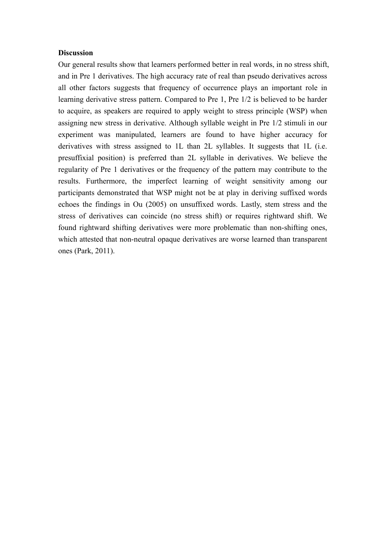#### **Discussion**

Our general results show that learners performed better in real words, in no stress shift, and in Pre 1 derivatives. The high accuracy rate of real than pseudo derivatives across all other factors suggests that frequency of occurrence plays an important role in learning derivative stress pattern. Compared to Pre 1, Pre 1/2 is believed to be harder to acquire, as speakers are required to apply weight to stress principle (WSP) when assigning new stress in derivative. Although syllable weight in Pre 1/2 stimuli in our experiment was manipulated, learners are found to have higher accuracy for derivatives with stress assigned to 1L than 2L syllables. It suggests that 1L (i.e. presuffixial position) is preferred than 2L syllable in derivatives. We believe the regularity of Pre 1 derivatives or the frequency of the pattern may contribute to the results. Furthermore, the imperfect learning of weight sensitivity among our participants demonstrated that WSP might not be at play in deriving suffixed words echoes the findings in Ou (2005) on unsuffixed words. Lastly, stem stress and the stress of derivatives can coincide (no stress shift) or requires rightward shift. We found rightward shifting derivatives were more problematic than non-shifting ones, which attested that non-neutral opaque derivatives are worse learned than transparent ones (Park, 2011).